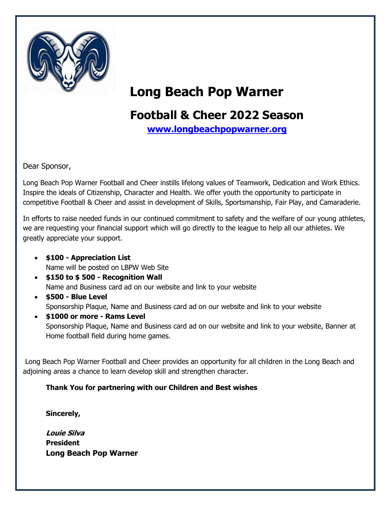

## **Long Beach Pop Warner**

## **Football & Cheer 2022 Season**

**[www.longbeachpopwarner.org](http://www.longbeachpopwarner.org/)**

Dear Sponsor,

Long Beach Pop Warner Football and Cheer instills lifelong values of Teamwork, Dedication and Work Ethics. Inspire the ideals of Citizenship, Character and Health. We offer youth the opportunity to participate in competitive Football & Cheer and assist in development of Skills, Sportsmanship, Fair Play, and Camaraderie.

In efforts to raise needed funds in our continued commitment to safety and the welfare of our young athletes, we are requesting your financial support which will go directly to the league to help all our athletes. We greatly appreciate your support.

- **\$100 - Appreciation List** Name will be posted on LBPW Web Site
- **\$150 to \$ 500 - Recognition Wall** Name and Business card ad on our website and link to your website
- **\$500 - Blue Level** Sponsorship Plaque, Name and Business card ad on our website and link to your website
- **\$1000 or more - Rams Level** Sponsorship Plaque, Name and Business card ad on our website and link to your website, Banner at Home football field during home games.

Long Beach Pop Warner Football and Cheer provides an opportunity for all children in the Long Beach and adjoining areas a chance to learn develop skill and strengthen character.

## **Thank You for partnering with our Children and Best wishes**

**Sincerely,**

**Louie Silva President Long Beach Pop Warner**